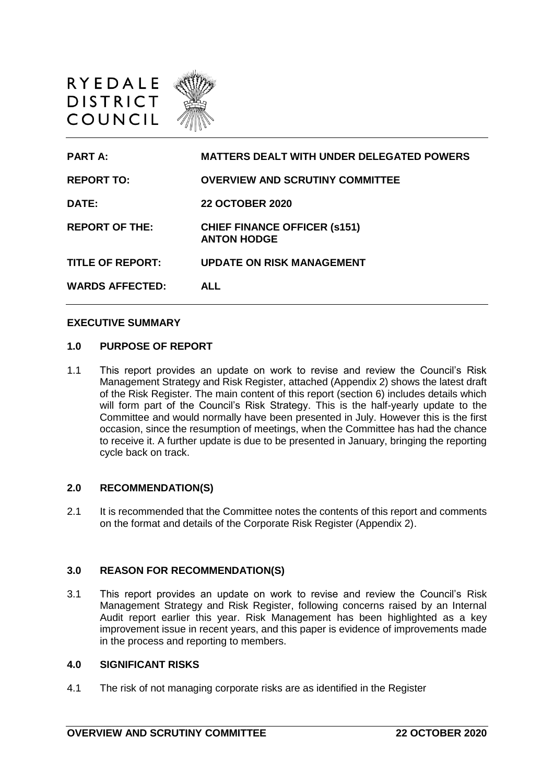



### **EXECUTIVE SUMMARY**

### **1.0 PURPOSE OF REPORT**

1.1 This report provides an update on work to revise and review the Council's Risk Management Strategy and Risk Register, attached (Appendix 2) shows the latest draft of the Risk Register. The main content of this report (section 6) includes details which will form part of the Council's Risk Strategy. This is the half-yearly update to the Committee and would normally have been presented in July. However this is the first occasion, since the resumption of meetings, when the Committee has had the chance to receive it. A further update is due to be presented in January, bringing the reporting cycle back on track.

### **2.0 RECOMMENDATION(S)**

2.1 It is recommended that the Committee notes the contents of this report and comments on the format and details of the Corporate Risk Register (Appendix 2).

### **3.0 REASON FOR RECOMMENDATION(S)**

3.1 This report provides an update on work to revise and review the Council's Risk Management Strategy and Risk Register, following concerns raised by an Internal Audit report earlier this year. Risk Management has been highlighted as a key improvement issue in recent years, and this paper is evidence of improvements made in the process and reporting to members.

### **4.0 SIGNIFICANT RISKS**

4.1 The risk of not managing corporate risks are as identified in the Register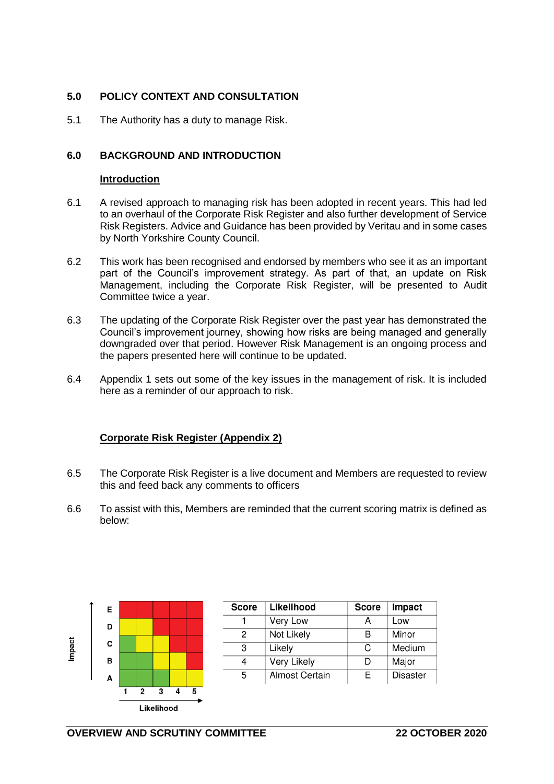## **5.0 POLICY CONTEXT AND CONSULTATION**

5.1 The Authority has a duty to manage Risk.

## **6.0 BACKGROUND AND INTRODUCTION**

### **Introduction**

- 6.1 A revised approach to managing risk has been adopted in recent years. This had led to an overhaul of the Corporate Risk Register and also further development of Service Risk Registers. Advice and Guidance has been provided by Veritau and in some cases by North Yorkshire County Council.
- 6.2 This work has been recognised and endorsed by members who see it as an important part of the Council's improvement strategy. As part of that, an update on Risk Management, including the Corporate Risk Register, will be presented to Audit Committee twice a year.
- 6.3 The updating of the Corporate Risk Register over the past year has demonstrated the Council's improvement journey, showing how risks are being managed and generally downgraded over that period. However Risk Management is an ongoing process and the papers presented here will continue to be updated.
- 6.4 Appendix 1 sets out some of the key issues in the management of risk. It is included here as a reminder of our approach to risk.

### **Corporate Risk Register (Appendix 2)**

- 6.5 The Corporate Risk Register is a live document and Members are requested to review this and feed back any comments to officers
- 6.6 To assist with this, Members are reminded that the current scoring matrix is defined as below:



| <b>Score</b> | Likelihood            | <b>Score</b> | Impact          |
|--------------|-----------------------|--------------|-----------------|
|              | Very Low              | А            | Low             |
|              | Not Likely            | в            | Minor           |
|              | Likely                | C            | Medium          |
|              | <b>Very Likely</b>    | D            | Major           |
| 5            | <b>Almost Certain</b> | E            | <b>Disaster</b> |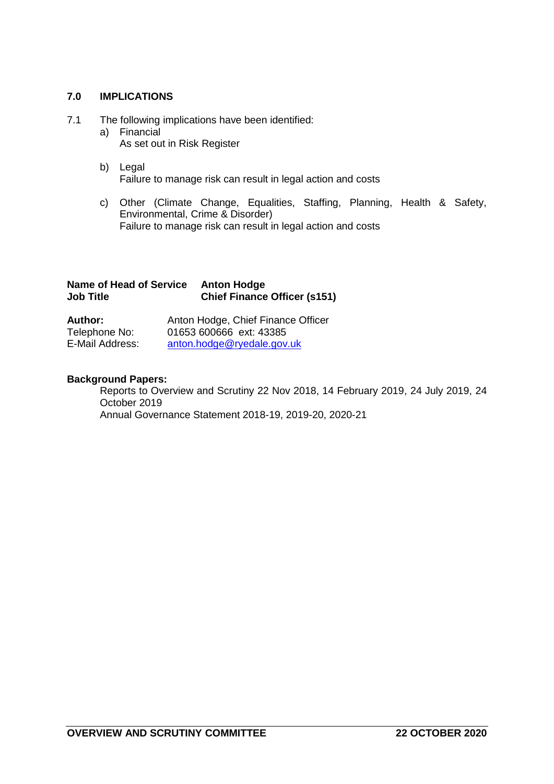## **7.0 IMPLICATIONS**

- 7.1 The following implications have been identified:
	- a) Financial As set out in Risk Register
	- b) Legal Failure to manage risk can result in legal action and costs
	- c) Other (Climate Change, Equalities, Staffing, Planning, Health & Safety, Environmental, Crime & Disorder) Failure to manage risk can result in legal action and costs

## **Name of Head of Service Anton Hodge Chief Finance Officer (s151)**

| <b>Author:</b>  | Anton Hodge, Chief Finance Officer |  |  |
|-----------------|------------------------------------|--|--|
| Telephone No:   | 01653 600666 ext: 43385            |  |  |
| E-Mail Address: | anton.hodge@ryedale.gov.uk         |  |  |

## **Background Papers:**

Reports to Overview and Scrutiny 22 Nov 2018, 14 February 2019, 24 July 2019, 24 October 2019 Annual Governance Statement 2018-19, 2019-20, 2020-21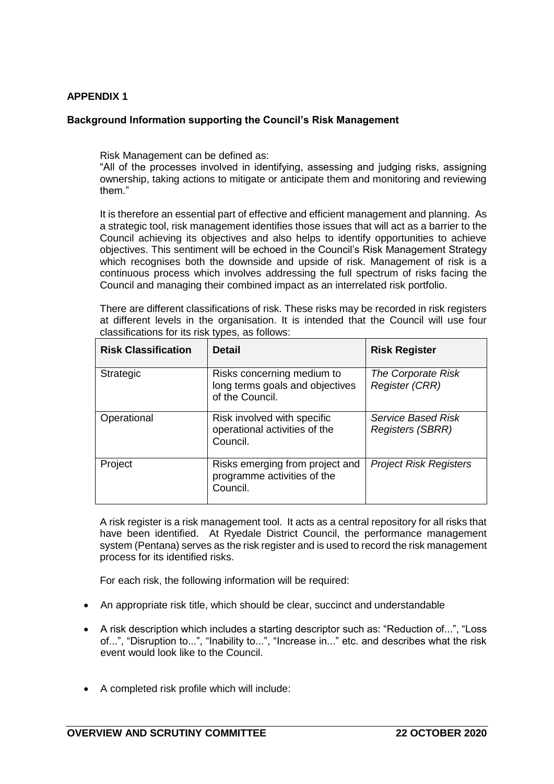## **APPENDIX 1**

### **Background Information supporting the Council's Risk Management**

Risk Management can be defined as:

"All of the processes involved in identifying, assessing and judging risks, assigning ownership, taking actions to mitigate or anticipate them and monitoring and reviewing them."

It is therefore an essential part of effective and efficient management and planning. As a strategic tool, risk management identifies those issues that will act as a barrier to the Council achieving its objectives and also helps to identify opportunities to achieve objectives. This sentiment will be echoed in the Council's Risk Management Strategy which recognises both the downside and upside of risk. Management of risk is a continuous process which involves addressing the full spectrum of risks facing the Council and managing their combined impact as an interrelated risk portfolio.

There are different classifications of risk. These risks may be recorded in risk registers at different levels in the organisation. It is intended that the Council will use four classifications for its risk types, as follows:

| <b>Risk Classification</b> | <b>Detail</b>                                                                    | <b>Risk Register</b>                                 |
|----------------------------|----------------------------------------------------------------------------------|------------------------------------------------------|
| Strategic                  | Risks concerning medium to<br>long terms goals and objectives<br>of the Council. | The Corporate Risk<br><b>Register (CRR)</b>          |
| Operational                | Risk involved with specific<br>operational activities of the<br>Council.         | <b>Service Based Risk</b><br><b>Registers (SBRR)</b> |
| Project                    | Risks emerging from project and<br>programme activities of the<br>Council.       | <b>Project Risk Registers</b>                        |

A risk register is a risk management tool. It acts as a central repository for all risks that have been identified. At Ryedale District Council, the performance management system (Pentana) serves as the risk register and is used to record the risk management process for its identified risks.

For each risk, the following information will be required:

- An appropriate risk title, which should be clear, succinct and understandable
- A risk description which includes a starting descriptor such as: "Reduction of...", "Loss of...", "Disruption to...", "Inability to...", "Increase in..." etc. and describes what the risk event would look like to the Council.
- A completed risk profile which will include: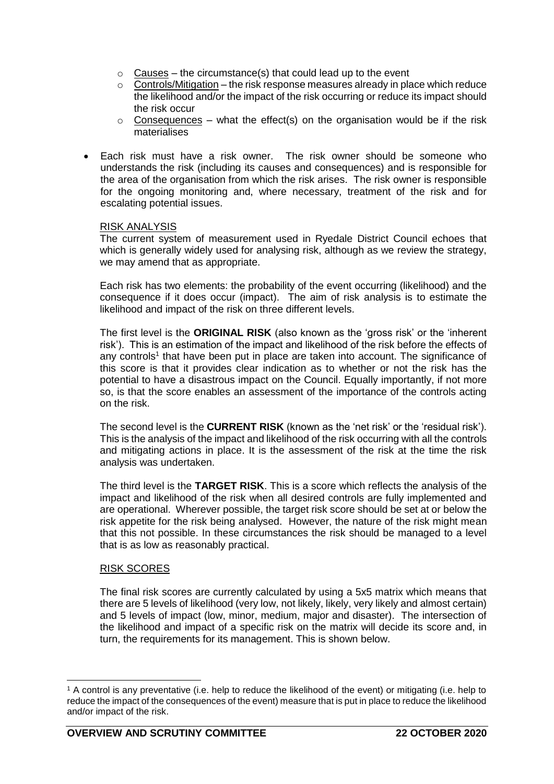- $\circ$  Causes the circumstance(s) that could lead up to the event
- $\circ$  Controls/Mitigation the risk response measures already in place which reduce the likelihood and/or the impact of the risk occurring or reduce its impact should the risk occur
- $\circ$  Consequences what the effect(s) on the organisation would be if the risk materialises
- Each risk must have a risk owner. The risk owner should be someone who understands the risk (including its causes and consequences) and is responsible for the area of the organisation from which the risk arises. The risk owner is responsible for the ongoing monitoring and, where necessary, treatment of the risk and for escalating potential issues.

## RISK ANALYSIS

The current system of measurement used in Ryedale District Council echoes that which is generally widely used for analysing risk, although as we review the strategy, we may amend that as appropriate.

Each risk has two elements: the probability of the event occurring (likelihood) and the consequence if it does occur (impact). The aim of risk analysis is to estimate the likelihood and impact of the risk on three different levels.

The first level is the **ORIGINAL RISK** (also known as the 'gross risk' or the 'inherent risk'). This is an estimation of the impact and likelihood of the risk before the effects of any controls<sup>1</sup> that have been put in place are taken into account. The significance of this score is that it provides clear indication as to whether or not the risk has the potential to have a disastrous impact on the Council. Equally importantly, if not more so, is that the score enables an assessment of the importance of the controls acting on the risk.

The second level is the **CURRENT RISK** (known as the 'net risk' or the 'residual risk'). This is the analysis of the impact and likelihood of the risk occurring with all the controls and mitigating actions in place. It is the assessment of the risk at the time the risk analysis was undertaken.

The third level is the **TARGET RISK**. This is a score which reflects the analysis of the impact and likelihood of the risk when all desired controls are fully implemented and are operational. Wherever possible, the target risk score should be set at or below the risk appetite for the risk being analysed. However, the nature of the risk might mean that this not possible. In these circumstances the risk should be managed to a level that is as low as reasonably practical.

## RISK SCORES

The final risk scores are currently calculated by using a 5x5 matrix which means that there are 5 levels of likelihood (very low, not likely, likely, very likely and almost certain) and 5 levels of impact (low, minor, medium, major and disaster). The intersection of the likelihood and impact of a specific risk on the matrix will decide its score and, in turn, the requirements for its management. This is shown below.

<sup>-</sup><sup>1</sup> A control is any preventative (i.e. help to reduce the likelihood of the event) or mitigating (i.e. help to reduce the impact of the consequences of the event) measure that is put in place to reduce the likelihood and/or impact of the risk.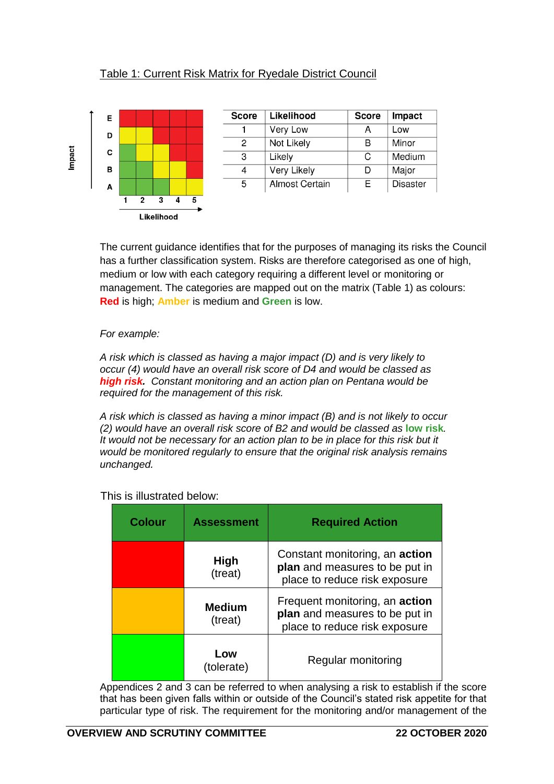# Table 1: Current Risk Matrix for Ryedale District Council





The current guidance identifies that for the purposes of managing its risks the Council has a further classification system. Risks are therefore categorised as one of high, medium or low with each category requiring a different level or monitoring or management. The categories are mapped out on the matrix (Table 1) as colours: **Red** is high; **Amber** is medium and **Green** is low.

## *For example:*

Likelihood

*A risk which is classed as having a major impact (D) and is very likely to occur (4) would have an overall risk score of D4 and would be classed as high risk. Constant monitoring and an action plan on Pentana would be required for the management of this risk.*

*A risk which is classed as having a minor impact (B) and is not likely to occur (2) would have an overall risk score of B2 and would be classed as* **low risk***.*  It would not be necessary for an action plan to be in place for this risk but it *would be monitored regularly to ensure that the original risk analysis remains unchanged.*

| <b>Colour</b> | <b>Assessment</b>        | <b>Required Action</b>                                                                                   |  |
|---------------|--------------------------|----------------------------------------------------------------------------------------------------------|--|
|               | <b>High</b><br>(treat)   | Constant monitoring, an <b>action</b><br>plan and measures to be put in<br>place to reduce risk exposure |  |
|               | <b>Medium</b><br>(treat) | Frequent monitoring, an action<br>plan and measures to be put in<br>place to reduce risk exposure        |  |
|               | Low<br>(tolerate)        | Regular monitoring                                                                                       |  |

This is illustrated below:

Appendices 2 and 3 can be referred to when analysing a risk to establish if the score that has been given falls within or outside of the Council's stated risk appetite for that particular type of risk. The requirement for the monitoring and/or management of the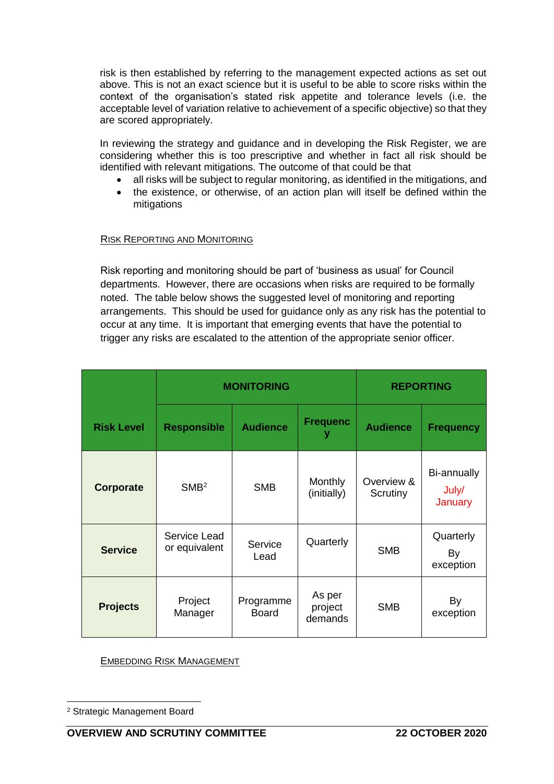risk is then established by referring to the management expected actions as set out above. This is not an exact science but it is useful to be able to score risks within the context of the organisation's stated risk appetite and tolerance levels (i.e. the acceptable level of variation relative to achievement of a specific objective) so that they are scored appropriately.

In reviewing the strategy and guidance and in developing the Risk Register, we are considering whether this is too prescriptive and whether in fact all risk should be identified with relevant mitigations. The outcome of that could be that

- all risks will be subject to regular monitoring, as identified in the mitigations, and
- the existence, or otherwise, of an action plan will itself be defined within the mitigations

## RISK REPORTING AND MONITORING

Risk reporting and monitoring should be part of 'business as usual' for Council departments. However, there are occasions when risks are required to be formally noted. The table below shows the suggested level of monitoring and reporting arrangements. This should be used for guidance only as any risk has the potential to occur at any time. It is important that emerging events that have the potential to trigger any risks are escalated to the attention of the appropriate senior officer.

|                   | <b>MONITORING</b>             |                           |                              | <b>REPORTING</b>       |                                 |
|-------------------|-------------------------------|---------------------------|------------------------------|------------------------|---------------------------------|
| <b>Risk Level</b> | <b>Responsible</b>            | <b>Audience</b>           | <b>Frequenc</b>              | <b>Audience</b>        | <b>Frequency</b>                |
| Corporate         | SMB <sup>2</sup>              | <b>SMB</b>                | Monthly<br>(initially)       | Overview &<br>Scrutiny | Bi-annually<br>July/<br>January |
| <b>Service</b>    | Service Lead<br>or equivalent | Service<br>Lead           | Quarterly                    | <b>SMB</b>             | Quarterly<br>By<br>exception    |
| <b>Projects</b>   | Project<br>Manager            | Programme<br><b>Board</b> | As per<br>project<br>demands | <b>SMB</b>             | By<br>exception                 |

EMBEDDING RISK MANAGEMENT

<sup>-</sup><sup>2</sup> Strategic Management Board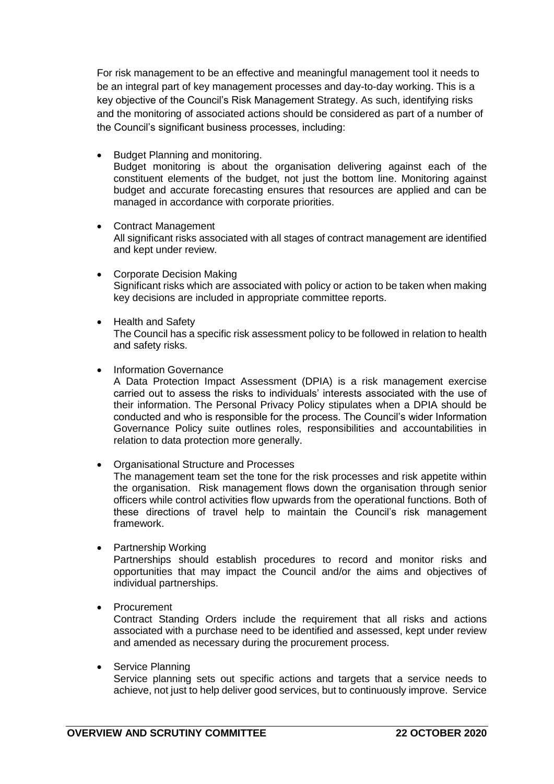For risk management to be an effective and meaningful management tool it needs to be an integral part of key management processes and day-to-day working. This is a key objective of the Council's Risk Management Strategy. As such, identifying risks and the monitoring of associated actions should be considered as part of a number of the Council's significant business processes, including:

• Budget Planning and monitoring.

Budget monitoring is about the organisation delivering against each of the constituent elements of the budget, not just the bottom line. Monitoring against budget and accurate forecasting ensures that resources are applied and can be managed in accordance with corporate priorities.

- Contract Management All significant risks associated with all stages of contract management are identified and kept under review.
- Corporate Decision Making Significant risks which are associated with policy or action to be taken when making key decisions are included in appropriate committee reports.
- Health and Safety The Council has a specific risk assessment policy to be followed in relation to health and safety risks.
- Information Governance

A Data Protection Impact Assessment (DPIA) is a risk management exercise carried out to assess the risks to individuals' interests associated with the use of their information. The Personal Privacy Policy stipulates when a DPIA should be conducted and who is responsible for the process. The Council's wider Information Governance Policy suite outlines roles, responsibilities and accountabilities in relation to data protection more generally.

- Organisational Structure and Processes The management team set the tone for the risk processes and risk appetite within the organisation. Risk management flows down the organisation through senior officers while control activities flow upwards from the operational functions. Both of these directions of travel help to maintain the Council's risk management framework.
- Partnership Working Partnerships should establish procedures to record and monitor risks and opportunities that may impact the Council and/or the aims and objectives of individual partnerships.
- **Procurement**

Contract Standing Orders include the requirement that all risks and actions associated with a purchase need to be identified and assessed, kept under review and amended as necessary during the procurement process.

• Service Planning

Service planning sets out specific actions and targets that a service needs to achieve, not just to help deliver good services, but to continuously improve. Service